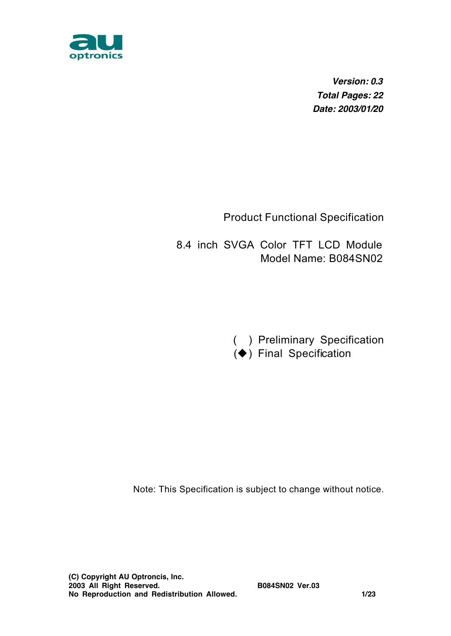

*Version: 0.3 Total Pages: 22 Date: 2003/01/20*

Product Functional Specification

 8.4 inch SVGA Color TFT LCD Module Model Name: B084SN02

( ) Preliminary Specification

 $(\blacklozenge)$  Final Specification

Note: This Specification is subject to change without notice.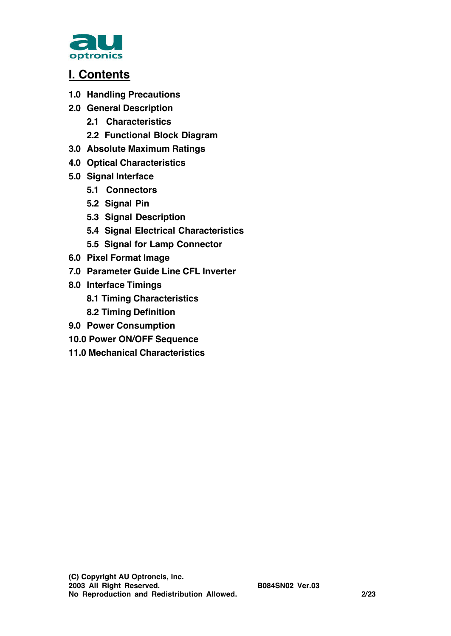

#### **I. Contents**

- **1.0 Handling Precautions**
- **2.0 General Description**
	- **2.1 Characteristics**
	- **2.2 Functional Block Diagram**
- **3.0 Absolute Maximum Ratings**
- **4.0 Optical Characteristics**
- **5.0 Signal Interface**
	- **5.1 Connectors**
	- **5.2 Signal Pin**
	- **5.3 Signal Description**
	- **5.4 Signal Electrical Characteristics**
	- **5.5 Signal for Lamp Connector**
- **6.0 Pixel Format Image**
- **7.0 Parameter Guide Line CFL Inverter**
- **8.0 Interface Timings**
	- **8.1 Timing Characteristics**
	- **8.2 Timing Definition**
- **9.0 Power Consumption**
- **10.0 Power ON/OFF Sequence**
- **11.0 Mechanical Characteristics**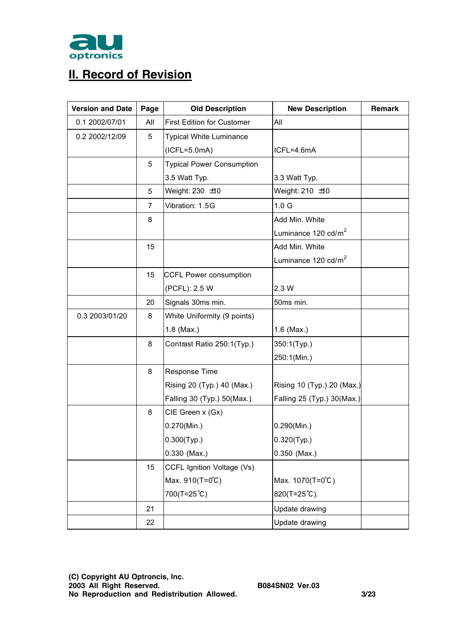

# **II. Record of Revision**

| <b>Version and Date</b> | Page           | <b>Old Description</b>            | <b>New Description</b>          | <b>Remark</b> |
|-------------------------|----------------|-----------------------------------|---------------------------------|---------------|
| 0.1 2002/07/01          | All            | <b>First Edition for Customer</b> | All                             |               |
| 0.2 2002/12/09          | 5              | <b>Typical White Luminance</b>    |                                 |               |
|                         |                | $(ICFL=5.0mA)$                    | ICFL=4.6mA                      |               |
|                         | 5              | <b>Typical Power Consumption</b>  |                                 |               |
|                         |                | 3.5 Watt Typ.                     | 3.3 Watt Typ.                   |               |
|                         | 5              | Weight: 230 ±10                   | Weight: 210 ±10                 |               |
|                         | $\overline{7}$ | Vibration: 1.5G                   | 1.0 <sub>G</sub>                |               |
|                         | 8              |                                   | Add Min. White                  |               |
|                         |                |                                   | Luminance 120 cd/m <sup>2</sup> |               |
|                         | 15             |                                   | Add Min. White                  |               |
|                         |                |                                   | Luminance 120 cd/m <sup>2</sup> |               |
|                         | 15             | <b>CCFL Power consumption</b>     |                                 |               |
|                         |                | (PCFL): 2.5 W                     | 2.3 W                           |               |
|                         | 20             | Signals 30ms min.                 | 50ms min.                       |               |
| 0.3 2003/01/20          | 8              | White Uniformity (9 points)       |                                 |               |
|                         |                | $1.8$ (Max.)                      | $1.6$ (Max.)                    |               |
|                         | 8              | Contrast Ratio 250:1(Typ.)        | 350:1(Typ.)                     |               |
|                         |                |                                   | 250:1(Min.)                     |               |
|                         | 8              | Response Time                     |                                 |               |
|                         |                | Rising 20 (Typ.) 40 (Max.)        | Rising 10 (Typ.) 20 (Max.)      |               |
|                         |                | Falling 30 (Typ.) 50(Max.)        | Falling 25 (Typ.) 30(Max.)      |               |
|                         | 8              | CIE Green x (Gx)                  |                                 |               |
|                         |                | $0.270$ (Min.)                    | $0.290$ (Min.)                  |               |
|                         |                | $0.300$ (Typ.)                    | $0.320$ (Typ.)                  |               |
|                         |                | $0.330$ (Max.)                    | $0.350$ (Max.)                  |               |
|                         | 15             | CCFL Ignition Voltage (Vs)        |                                 |               |
|                         |                | Max. 910(T=0°C)                   | Max. 1070(T=0°C)                |               |
|                         |                | 700(T=25°C)                       | 820(T=25°C).                    |               |
|                         | 21             |                                   | Update drawing                  |               |
|                         | 22             |                                   | Update drawing                  |               |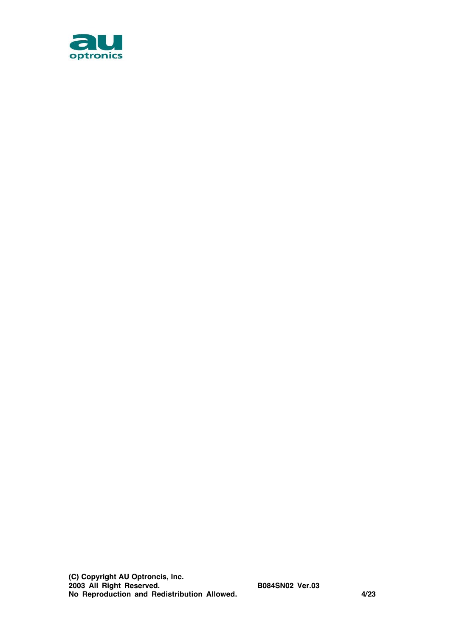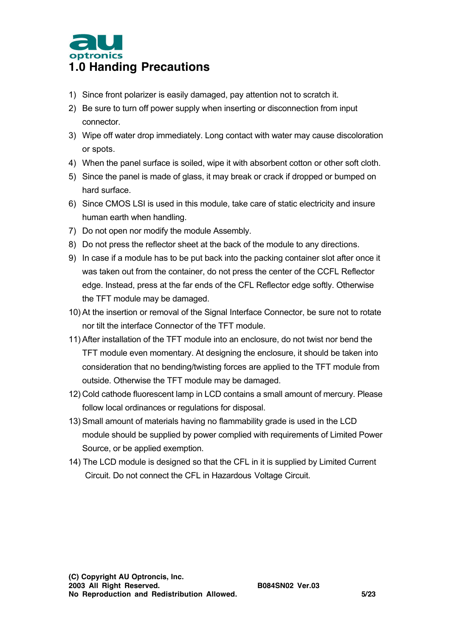

- 1) Since front polarizer is easily damaged, pay attention not to scratch it.
- 2) Be sure to turn off power supply when inserting or disconnection from input connector.
- 3) Wipe off water drop immediately. Long contact with water may cause discoloration or spots.
- 4) When the panel surface is soiled, wipe it with absorbent cotton or other soft cloth.
- 5) Since the panel is made of glass, it may break or crack if dropped or bumped on hard surface.
- 6) Since CMOS LSI is used in this module, take care of static electricity and insure human earth when handling.
- 7) Do not open nor modify the module Assembly.
- 8) Do not press the reflector sheet at the back of the module to any directions.
- 9) In case if a module has to be put back into the packing container slot after once it was taken out from the container, do not press the center of the CCFL Reflector edge. Instead, press at the far ends of the CFL Reflector edge softly. Otherwise the TFT module may be damaged.
- 10) At the insertion or removal of the Signal Interface Connector, be sure not to rotate nor tilt the interface Connector of the TFT module.
- 11) After installation of the TFT module into an enclosure, do not twist nor bend the TFT module even momentary. At designing the enclosure, it should be taken into consideration that no bending/twisting forces are applied to the TFT module from outside. Otherwise the TFT module may be damaged.
- 12) Cold cathode fluorescent lamp in LCD contains a small amount of mercury. Please follow local ordinances or regulations for disposal.
- 13) Small amount of materials having no flammability grade is used in the LCD module should be supplied by power complied with requirements of Limited Power Source, or be applied exemption.
- 14) The LCD module is designed so that the CFL in it is supplied by Limited Current Circuit. Do not connect the CFL in Hazardous Voltage Circuit.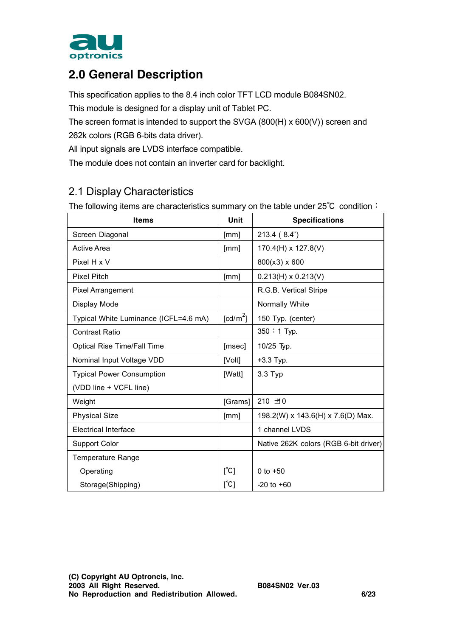

## **2.0 General Description**

This specification applies to the 8.4 inch color TFT LCD module B084SN02.

This module is designed for a display unit of Tablet PC.

The screen format is intended to support the SVGA (800(H) x 600(V)) screen and 262k colors (RGB 6-bits data driver).

All input signals are LVDS interface compatible.

The module does not contain an inverter card for backlight.

### 2.1 Display Characteristics

The following items are characteristics summary on the table under 25℃ condition:

| <b>Items</b>                          | Unit                      | <b>Specifications</b>                 |
|---------------------------------------|---------------------------|---------------------------------------|
| Screen Diagonal                       | [mm]                      | 213.4(8.4")                           |
| <b>Active Area</b>                    | [mm]                      | 170.4(H) x 127.8(V)                   |
| Pixel H x V                           |                           | 800(x3) x 600                         |
| <b>Pixel Pitch</b>                    | [mm]                      | $0.213(H) \times 0.213(V)$            |
| Pixel Arrangement                     |                           | R.G.B. Vertical Stripe                |
| Display Mode                          |                           | Normally White                        |
| Typical White Luminance (ICFL=4.6 mA) | [cd/m <sup>2</sup> ]      | 150 Typ. (center)                     |
| <b>Contrast Ratio</b>                 |                           | 350:1 Typ.                            |
| <b>Optical Rise Time/Fall Time</b>    | [msec]                    | 10/25 Typ.                            |
| Nominal Input Voltage VDD             | [Volt]                    | +3.3 Typ.                             |
| <b>Typical Power Consumption</b>      | [Watt]                    | $3.3$ Typ                             |
| (VDD line + VCFL line)                |                           |                                       |
| Weight                                | [Grams]                   | $210 + 10$                            |
| <b>Physical Size</b>                  | [mm]                      | 198.2(W) x 143.6(H) x 7.6(D) Max.     |
| <b>Electrical Interface</b>           |                           | 1 channel LVDS                        |
| <b>Support Color</b>                  |                           | Native 262K colors (RGB 6-bit driver) |
| <b>Temperature Range</b>              |                           |                                       |
| Operating                             | $[^{\circ}C]$             | 0 to $+50$                            |
| Storage(Shipping)                     | $\lceil \text{°C} \rceil$ | $-20$ to $+60$                        |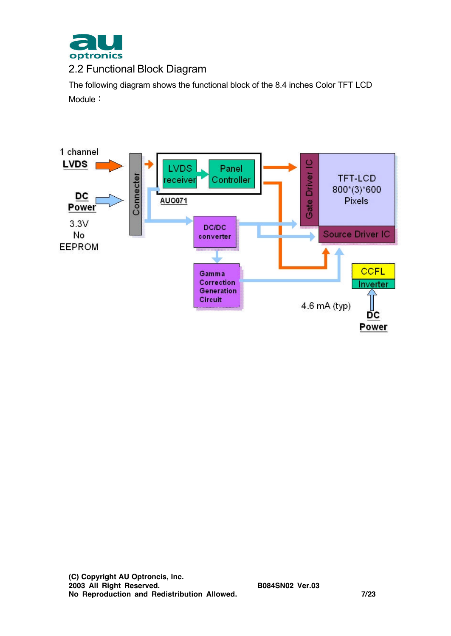

#### 2.2 Functional Block Diagram

The following diagram shows the functional block of the 8.4 inches Color TFT LCD Module:

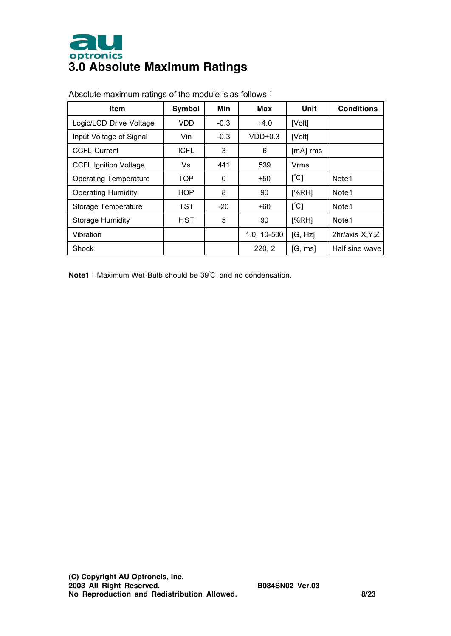

| <b>Item</b>                  | Symbol      | Min    | Max         | Unit                      | <b>Conditions</b> |  |
|------------------------------|-------------|--------|-------------|---------------------------|-------------------|--|
| Logic/LCD Drive Voltage      | <b>VDD</b>  | $-0.3$ | $+4.0$      | [Volt]                    |                   |  |
| Input Voltage of Signal      | Vin         | $-0.3$ | $VDD+0.3$   | [Volt]                    |                   |  |
| <b>CCFL Current</b>          | <b>ICFL</b> | 3      | 6           | $[mA]$ rms                |                   |  |
| <b>CCFL Ignition Voltage</b> | Vs          | 441    | 539         | <b>Vrms</b>               |                   |  |
| <b>Operating Temperature</b> | <b>TOP</b>  | 0      | $+50$       | $\lceil \text{°C} \rceil$ | Note <sub>1</sub> |  |
| <b>Operating Humidity</b>    | <b>HOP</b>  | 8      | 90          | [%RH]                     | Note1             |  |
| Storage Temperature          | <b>TST</b>  | $-20$  | $+60$       | $\lceil \text{°C} \rceil$ | Note1             |  |
| Storage Humidity             | <b>HST</b>  | 5      | 90          | [%RH]                     | Note1             |  |
| Vibration                    |             |        | 1.0, 10-500 | [G, Hz]                   | 2hr/axis X, Y, Z  |  |
| Shock                        |             |        | 220, 2      | [G, ms]                   | Half sine wave    |  |

Absolute maximum ratings of the module is as follows:

**Note1**: Maximum Wet-Bulb should be 39℃ and no condensation.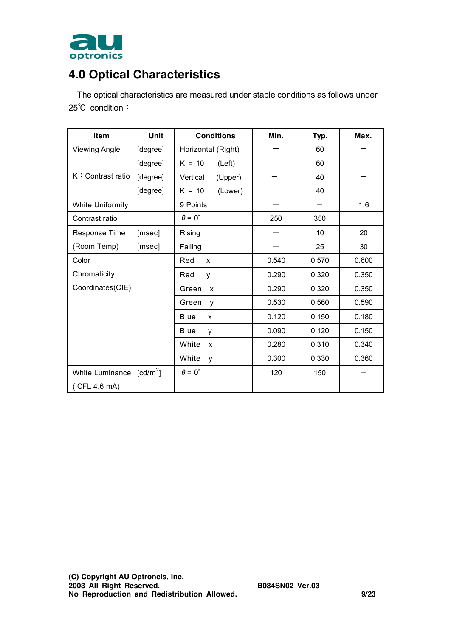

# **4.0 Optical Characteristics**

The optical characteristics are measured under stable conditions as follows under 25℃ condition:

| Item                    | Unit                   | <b>Conditions</b>    | Min.  | Typ.  | Max.  |
|-------------------------|------------------------|----------------------|-------|-------|-------|
| <b>Viewing Angle</b>    | [degree]               | Horizontal (Right)   |       | 60    |       |
|                         | [degree]               | $K = 10$<br>(Left)   |       | 60    |       |
| K: Contrast ratio       | [degree]               | Vertical<br>(Upper)  |       | 40    |       |
|                         | [degree]               | $K = 10$<br>(Lower)  |       | 40    |       |
| <b>White Uniformity</b> |                        | 9 Points             |       |       | 1.6   |
| Contrast ratio          |                        | $\theta = 0^{\circ}$ | 250   | 350   |       |
| Response Time           | [msec]                 | Rising               |       | 10    | 20    |
| (Room Temp)             | [msec]                 | Falling              |       | 25    | 30    |
| Color                   |                        | Red<br>X             | 0.540 | 0.570 | 0.600 |
| Chromaticity            |                        | Red<br>y             | 0.290 | 0.320 | 0.350 |
| Coordinates(CIE)        |                        | Green<br>X           | 0.290 | 0.320 | 0.350 |
|                         |                        | Green<br>y           | 0.530 | 0.560 | 0.590 |
|                         |                        | <b>Blue</b><br>X     | 0.120 | 0.150 | 0.180 |
|                         |                        | <b>Blue</b><br>y     | 0.090 | 0.120 | 0.150 |
|                         |                        | White<br>x           | 0.280 | 0.310 | 0.340 |
|                         |                        | White<br>y           | 0.300 | 0.330 | 0.360 |
| White Luminance         | $\lceil cd/m^2 \rceil$ | $\theta = 0^{\circ}$ | 120   | 150   |       |
| (ICFL 4.6 mA)           |                        |                      |       |       |       |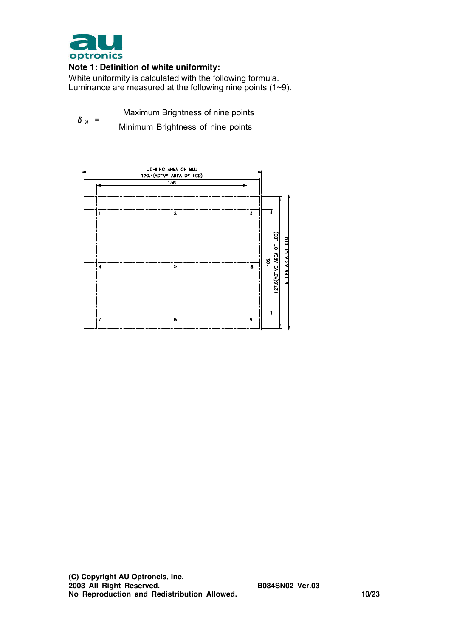

#### **Note 1: Definition of white uniformity:**

White uniformity is calculated with the following formula. Luminance are measured at the following nine points (1~9).



Minimum Brightness of nine points

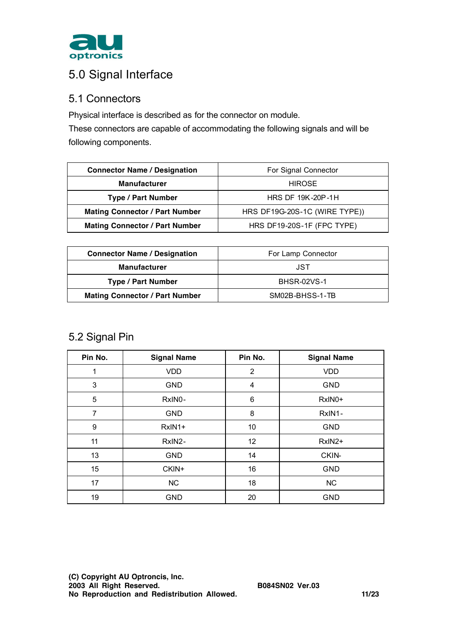

## 5.0 Signal Interface

#### 5.1 Connectors

Physical interface is described as for the connector on module.

These connectors are capable of accommodating the following signals and will be following components.

| <b>Connector Name / Designation</b>   | For Signal Connector          |
|---------------------------------------|-------------------------------|
| <b>Manufacturer</b>                   | <b>HIROSE</b>                 |
| Type / Part Number                    | HRS DF 19K-20P-1H             |
| <b>Mating Connector / Part Number</b> | HRS DF19G-20S-1C (WIRE TYPE)) |
| <b>Mating Connector / Part Number</b> | HRS DF19-20S-1F (FPC TYPE)    |

| <b>Connector Name / Designation</b>   | For Lamp Connector |
|---------------------------------------|--------------------|
| <b>Manufacturer</b>                   | JST                |
| <b>Type / Part Number</b>             | BHSR-02VS-1        |
| <b>Mating Connector / Part Number</b> | SM02B-BHSS-1-TB    |

### 5.2 Signal Pin

| Pin No.        | <b>Signal Name</b> | Pin No.         | <b>Signal Name</b> |
|----------------|--------------------|-----------------|--------------------|
| 1              | <b>VDD</b>         | 2               | <b>VDD</b>         |
| $\sqrt{3}$     | <b>GND</b>         | 4               | <b>GND</b>         |
| 5              | RxIN0-             | 6               | RxIN0+             |
| $\overline{7}$ | <b>GND</b>         | 8               | RxIN1-             |
| 9              | RxIN1+             | 10              | <b>GND</b>         |
| 11             | RxIN2-             | 12 <sup>2</sup> | RxIN2+             |
| 13             | <b>GND</b>         | 14              | CKIN-              |
| 15             | CKIN+              | 16              | <b>GND</b>         |
| 17             | <b>NC</b>          | 18              | NC                 |
| 19             | <b>GND</b>         | 20              | <b>GND</b>         |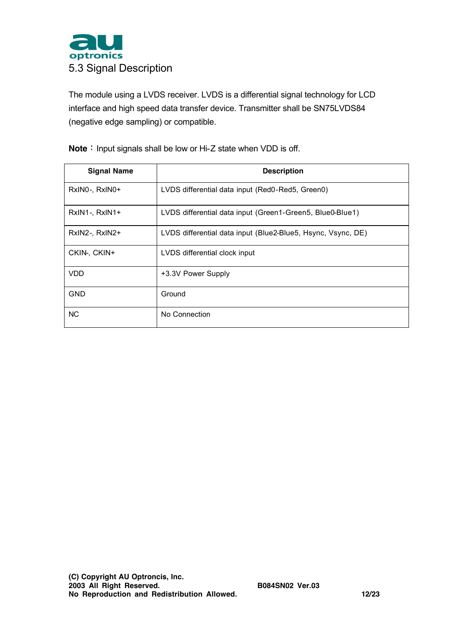

The module using a LVDS receiver. LVDS is a differential signal technology for LCD interface and high speed data transfer device. Transmitter shall be SN75LVDS84 (negative edge sampling) or compatible.

| <b>Signal Name</b> | <b>Description</b>                                           |
|--------------------|--------------------------------------------------------------|
| RxIN0-, RxIN0+     | LVDS differential data input (Red0-Red5, Green0)             |
| RxIN1-, RxIN1+     | LVDS differential data input (Green1-Green5, Blue0-Blue1)    |
| RxIN2-, RxIN2+     | LVDS differential data input (Blue2-Blue5, Hsync, Vsync, DE) |
| CKIN-, CKIN+       | LVDS differential clock input                                |
| <b>VDD</b>         | +3.3V Power Supply                                           |
| <b>GND</b>         | Ground                                                       |
| <b>NC</b>          | No Connection                                                |

**Note**: Input signals shall be low or Hi-Z state when VDD is off.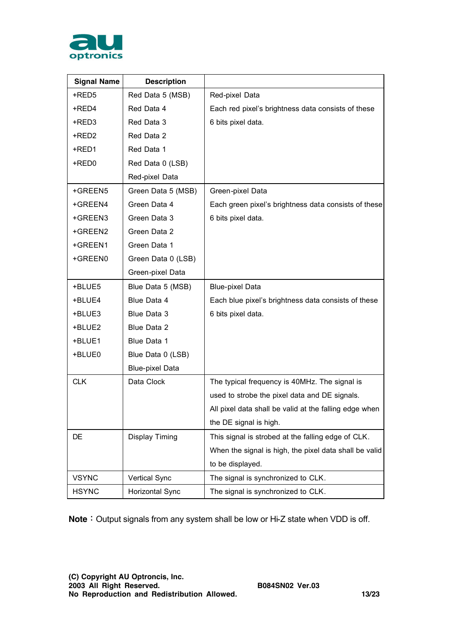

| <b>Signal Name</b> | <b>Description</b>     |                                                        |
|--------------------|------------------------|--------------------------------------------------------|
| +RED5              | Red Data 5 (MSB)       | Red-pixel Data                                         |
| +RED4              | Red Data 4             | Each red pixel's brightness data consists of these     |
| +RED3              | Red Data 3             | 6 bits pixel data.                                     |
| +RED2              | Red Data 2             |                                                        |
| +RED1              | Red Data 1             |                                                        |
| +RED0              | Red Data 0 (LSB)       |                                                        |
|                    | Red-pixel Data         |                                                        |
| +GREEN5            | Green Data 5 (MSB)     | Green-pixel Data                                       |
| +GREEN4            | Green Data 4           | Each green pixel's brightness data consists of these   |
| +GREEN3            | Green Data 3           | 6 bits pixel data.                                     |
| +GREEN2            | Green Data 2           |                                                        |
| +GREEN1            | Green Data 1           |                                                        |
| +GREEN0            | Green Data 0 (LSB)     |                                                        |
|                    | Green-pixel Data       |                                                        |
| +BLUE5             | Blue Data 5 (MSB)      | <b>Blue-pixel Data</b>                                 |
| +BLUE4             | Blue Data 4            | Each blue pixel's brightness data consists of these    |
| +BLUE3             | Blue Data 3            | 6 bits pixel data.                                     |
| +BLUE2             | Blue Data 2            |                                                        |
| +BLUE1             | Blue Data 1            |                                                        |
| +BLUE0             | Blue Data 0 (LSB)      |                                                        |
|                    | <b>Blue-pixel Data</b> |                                                        |
| <b>CLK</b>         | Data Clock             | The typical frequency is 40MHz. The signal is          |
|                    |                        | used to strobe the pixel data and DE signals.          |
|                    |                        | All pixel data shall be valid at the falling edge when |
|                    |                        | the DE signal is high.                                 |
| DE                 | <b>Display Timing</b>  | This signal is strobed at the falling edge of CLK.     |
|                    |                        | When the signal is high, the pixel data shall be valid |
|                    |                        | to be displayed.                                       |
| <b>VSYNC</b>       | <b>Vertical Sync</b>   | The signal is synchronized to CLK.                     |
| <b>HSYNC</b>       | Horizontal Sync        | The signal is synchronized to CLK.                     |

**Note**: Output signals from any system shall be low or Hi-Z state when VDD is off.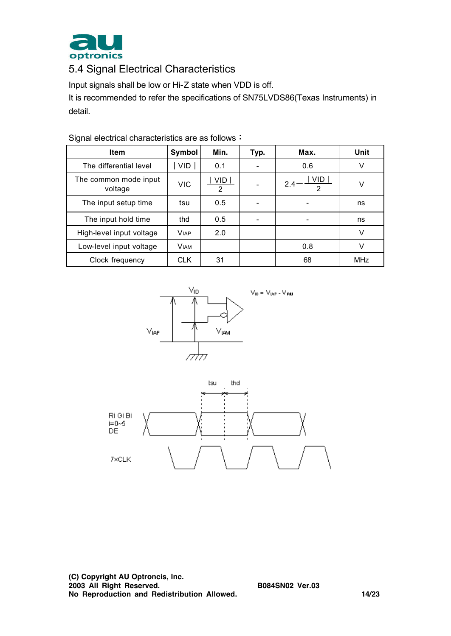

### 5.4 Signal Electrical Characteristics

Input signals shall be low or Hi-Z state when VDD is off.

It is recommended to refer the specifications of SN75LVDS86(Texas Instruments) in detail.

| <b>Item</b>                      | Symbol      | Min.                         | Typ.                     | Max.       | Unit       |
|----------------------------------|-------------|------------------------------|--------------------------|------------|------------|
| The differential level           | <b>VID</b>  | 0.1                          | $\overline{\phantom{0}}$ | 0.6        | v          |
| The common mode input<br>voltage | <b>VIC</b>  | <b>VID</b><br>$\overline{2}$ |                          | VID<br>2.4 | v          |
| The input setup time             | tsu         | 0.5                          |                          |            | ns         |
| The input hold time              | thd         | 0.5                          | -                        |            | ns         |
| High-level input voltage         | <b>VIAP</b> | 2.0                          |                          |            | V          |
| Low-level input voltage          | <b>VIAM</b> |                              |                          | 0.8        | v          |
| Clock frequency                  | <b>CLK</b>  | 31                           |                          | 68         | <b>MHz</b> |

Signal electrical characteristics are as follows:



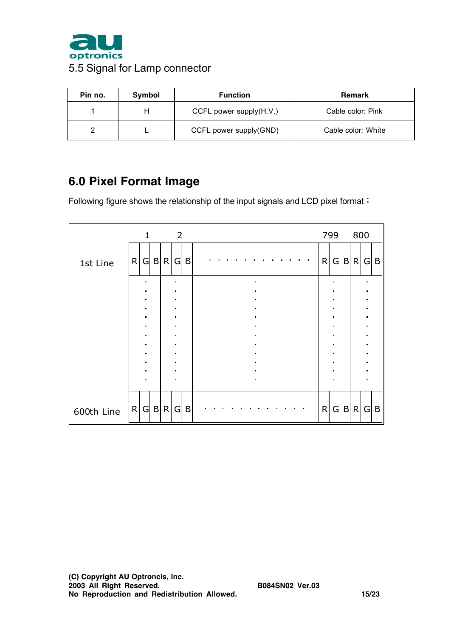

| Pin no. | Symbol | <b>Function</b>         | <b>Remark</b>      |
|---------|--------|-------------------------|--------------------|
|         | н      | CCFL power supply(H.V.) | Cable color: Pink  |
|         |        | CCFL power supply(GND)  | Cable color: White |

# **6.0 Pixel Format Image**

Following figure shows the relationship of the input signals and LCD pixel format:

|            |   | $\mathbf 1$                      |       | $\overline{2}$                   |   |  |  |                                  |  |  |  |   |                                  |   | 799 800   |                |              |
|------------|---|----------------------------------|-------|----------------------------------|---|--|--|----------------------------------|--|--|--|---|----------------------------------|---|-----------|----------------|--------------|
| 1st Line   | R |                                  | G B R | G                                | B |  |  |                                  |  |  |  | R |                                  |   | G B R G B |                |              |
|            |   |                                  |       | $\blacksquare$                   |   |  |  | $\blacksquare$                   |  |  |  |   | É                                |   |           |                |              |
|            |   | ٠                                |       | $\blacksquare$                   |   |  |  | $\blacksquare$<br>$\blacksquare$ |  |  |  |   | $\blacksquare$<br>$\blacksquare$ |   |           | $\blacksquare$ |              |
|            |   | $\blacksquare$<br>$\blacksquare$ |       | $\blacksquare$<br>$\blacksquare$ |   |  |  | $\blacksquare$                   |  |  |  |   | $\blacksquare$                   |   |           |                |              |
|            |   | $\blacksquare$                   |       | п                                |   |  |  | $\blacksquare$                   |  |  |  |   | $\blacksquare$                   |   |           | $\blacksquare$ |              |
|            |   | $\blacksquare$                   |       | $\blacksquare$                   |   |  |  | $\blacksquare$                   |  |  |  |   | $\blacksquare$                   |   |           | $\blacksquare$ |              |
|            |   |                                  |       |                                  |   |  |  |                                  |  |  |  |   |                                  |   |           |                |              |
|            |   | ٠                                |       | $\blacksquare$                   |   |  |  | $\blacksquare$                   |  |  |  |   | $\blacksquare$                   |   |           |                |              |
|            |   | $\blacksquare$<br>$\blacksquare$ |       | $\blacksquare$<br>$\blacksquare$ |   |  |  | $\blacksquare$<br>$\blacksquare$ |  |  |  |   | $\blacksquare$<br>$\blacksquare$ |   |           | $\blacksquare$ |              |
|            |   | $\blacksquare$                   |       | $\blacksquare$                   |   |  |  |                                  |  |  |  |   | $\blacksquare$                   |   |           |                |              |
|            |   | $\blacksquare$                   |       | $\blacksquare$                   |   |  |  | $\blacksquare$                   |  |  |  |   | $\blacksquare$                   |   |           |                |              |
|            |   |                                  |       |                                  |   |  |  |                                  |  |  |  |   |                                  |   |           |                |              |
| 600th Line | R |                                  | G B R | G                                | B |  |  |                                  |  |  |  | R | G                                | B | R         | G              | $\mathsf{B}$ |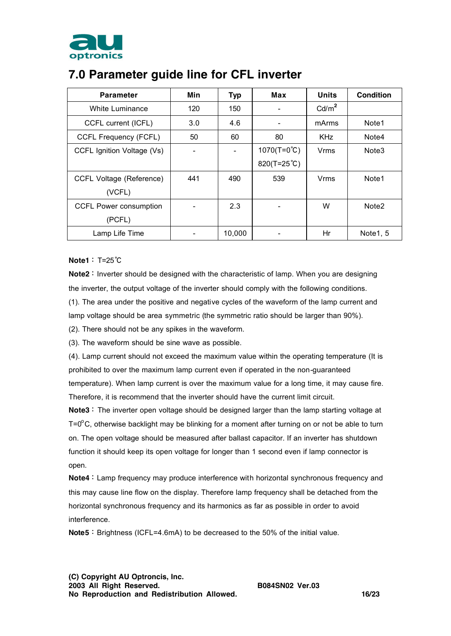

## **7.0 Parameter guide line for CFL inverter**

| <b>Parameter</b>              | Min | <b>Typ</b> | Max                  | <b>Units</b>      | <b>Condition</b>  |
|-------------------------------|-----|------------|----------------------|-------------------|-------------------|
| White Luminance               | 120 | 150        |                      | Cd/m <sup>2</sup> |                   |
| CCFL current (ICFL)           | 3.0 | 4.6        |                      | mArms             | Note1             |
| CCFL Frequency (FCFL)         | 50  | 60         | 80                   | <b>KHz</b>        | Note4             |
| CCFL Ignition Voltage (Vs)    |     |            | $1070(T=0^{\circ}C)$ | <b>Vrms</b>       | Note <sub>3</sub> |
|                               |     |            | 820(T=25 $°C$ )      |                   |                   |
| CCFL Voltage (Reference)      | 441 | 490        | 539                  | Vrms              | Note1             |
| (VCFL)                        |     |            |                      |                   |                   |
| <b>CCFL Power consumption</b> |     | 2.3        |                      | W                 | Note <sub>2</sub> |
| (PCFL)                        |     |            |                      |                   |                   |
| Lamp Life Time                |     | 10,000     |                      | Hr                | Note 1, 5         |

#### **Note1**: T=25℃

**Note2**: Inverter should be designed with the characteristic of lamp. When you are designing the inverter, the output voltage of the inverter should comply with the following conditions. (1). The area under the positive and negative cycles of the waveform of the lamp current and lamp voltage should be area symmetric (the symmetric ratio should be larger than 90%).

(2). There should not be any spikes in the waveform.

(3). The waveform should be sine wave as possible.

(4). Lamp current should not exceed the maximum value within the operating temperature (It is prohibited to over the maximum lamp current even if operated in the non-guaranteed temperature). When lamp current is over the maximum value for a long time, it may cause fire. Therefore, it is recommend that the inverter should have the current limit circuit.

**Note3**: The inverter open voltage should be designed larger than the lamp starting voltage at T=0 $\rm{^o}$ C, otherwise backlight may be blinking for a moment after turning on or not be able to turn on. The open voltage should be measured after ballast capacitor. If an inverter has shutdown function it should keep its open voltage for longer than 1 second even if lamp connector is open.

**Note4**: Lamp frequency may produce interference with horizontal synchronous frequency and this may cause line flow on the display. Therefore lamp frequency shall be detached from the horizontal synchronous frequency and its harmonics as far as possible in order to avoid interference.

Note5: Brightness (ICFL=4.6mA) to be decreased to the 50% of the initial value.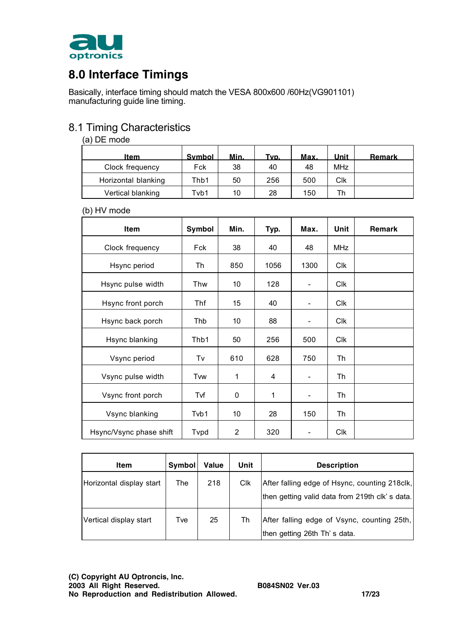

## **8.0 Interface Timings**

Basically, interface timing should match the VESA 800x600 /60Hz(VG901101) manufacturing guide line timing.

### 8.1 Timing Characteristics

#### (a) DE mode

| Item                | Symbol | Min. | Tvp. | Max. | <b>Unit</b> | <b>Remark</b> |
|---------------------|--------|------|------|------|-------------|---------------|
| Clock frequency     | Fck    | 38   | 40   | 48   | <b>MHz</b>  |               |
| Horizontal blanking | Thb1   | 50   | 256  | 500  | Clk         |               |
| Vertical blanking   | Tvb1   | 10   | 28   | 150  | Th          |               |

#### (b) HV mode

| Item                    | Symbol | Min. | Typ. | Max.                     | Unit       | Remark |
|-------------------------|--------|------|------|--------------------------|------------|--------|
| Clock frequency         | Fck    | 38   | 40   | 48                       | <b>MHz</b> |        |
| Hsync period            | Th     | 850  | 1056 | 1300                     | <b>Clk</b> |        |
| Hsync pulse width       | Thw    | 10   | 128  |                          | Clk        |        |
| Hsync front porch       | Thf    | 15   | 40   | -                        | Clk        |        |
| Hsync back porch        | Thb    | 10   | 88   | $\qquad \qquad -$        | Clk        |        |
| Hsync blanking          | Thb1   | 50   | 256  | 500                      | Clk        |        |
| Vsync period            | Tv     | 610  | 628  | 750                      | Th         |        |
| Vsync pulse width       | Tvw    | 1    | 4    | $\qquad \qquad -$        | Th         |        |
| Vsync front porch       | Tvf    | 0    | 1    | $\overline{\phantom{0}}$ | Th         |        |
| Vsync blanking          | Tvb1   | 10   | 28   | 150                      | Th         |        |
| Hsync/Vsync phase shift | Tvpd   | 2    | 320  |                          | <b>Clk</b> |        |

| <b>Item</b>              | <b>Symbol</b> | <b>Value</b> | Unit | <b>Description</b>                                                                              |
|--------------------------|---------------|--------------|------|-------------------------------------------------------------------------------------------------|
| Horizontal display start | The           | 218          | Clk  | After falling edge of Hsync, counting 218clk,<br>then getting valid data from 219th clk's data. |
| Vertical display start   | Tve           | 25           | Th   | After falling edge of Vsync, counting 25th,<br>then getting 26th Th's data.                     |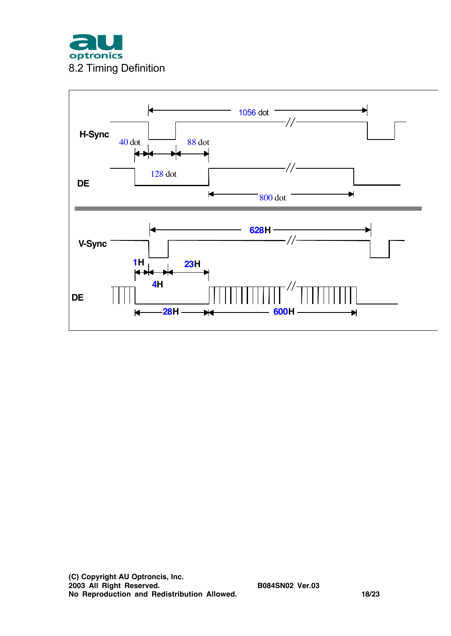

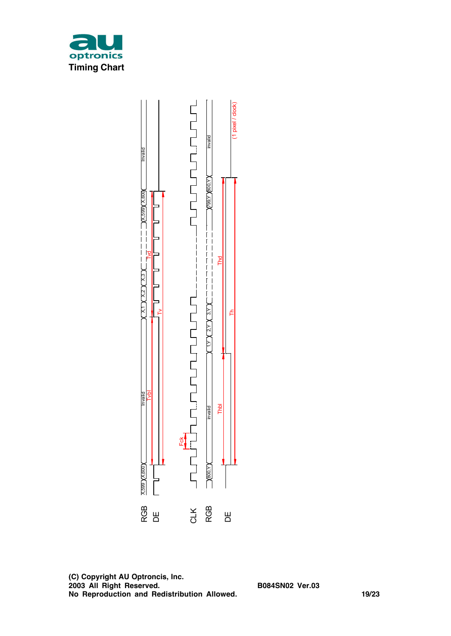

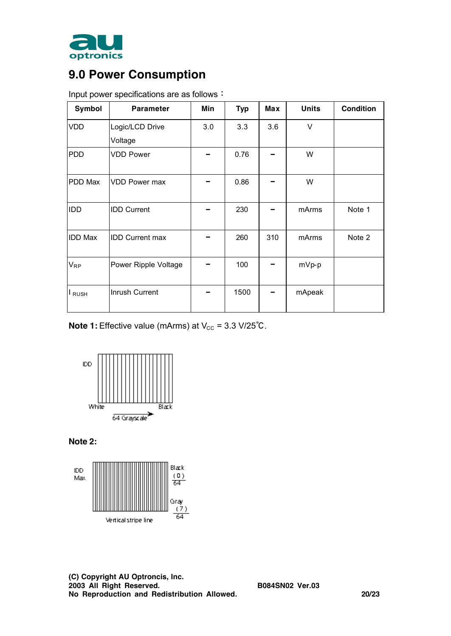

# **9.0 Power Consumption**

| <b>Symbol</b>  | <b>Parameter</b>       | Min | <b>Typ</b> | Max | <b>Units</b> | <b>Condition</b> |
|----------------|------------------------|-----|------------|-----|--------------|------------------|
| <b>VDD</b>     | Logic/LCD Drive        | 3.0 | 3.3        | 3.6 | $\vee$       |                  |
|                | Voltage                |     |            |     |              |                  |
| <b>PDD</b>     | <b>VDD Power</b>       |     | 0.76       |     | W            |                  |
| PDD Max        | <b>VDD Power max</b>   |     | 0.86       |     | W            |                  |
| <b>IDD</b>     | <b>IDD Current</b>     |     | 230        |     | mArms        | Note 1           |
| <b>IDD Max</b> | <b>IDD Current max</b> |     | 260        | 310 | mArms        | Note 2           |
| $V_{RP}$       | Power Ripple Voltage   |     | 100        |     | mVp-p        |                  |
| <b>RUSH</b>    | Inrush Current         |     | 1500       |     | mApeak       |                  |

Input power specifications are as follows:

**Note 1:** Effective value (mArms) at  $V_{\text{cc}}$  = 3.3 V/25°C.



**Note 2:** 

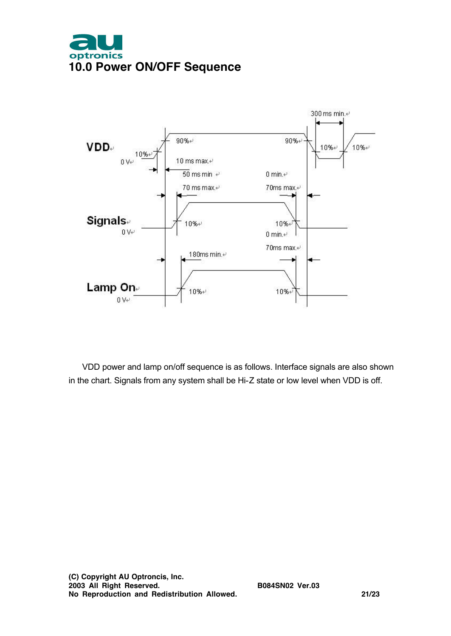



VDD power and lamp on/off sequence is as follows. Interface signals are also shown in the chart. Signals from any system shall be Hi-Z state or low level when VDD is off.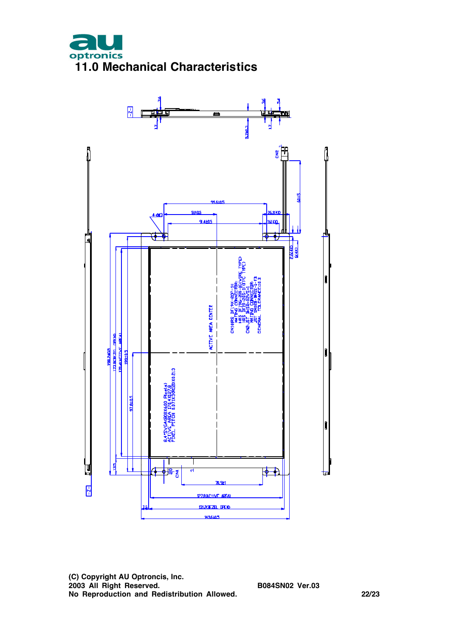